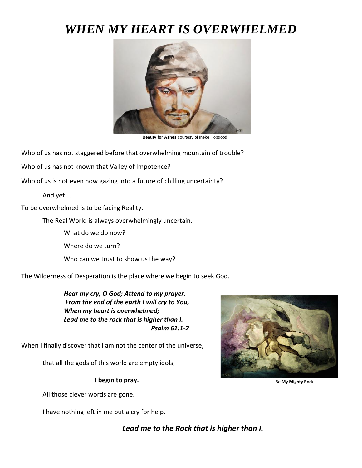# *WHEN MY HEART IS OVERWHELMED*



 **Beauty for Ashes** courtesy of Ineke Hopgood

Who of us has not staggered before that overwhelming mountain of trouble?

Who of us has not known that Valley of Impotence?

Who of us is not even now gazing into a future of chilling uncertainty?

And yet….

To be overwhelmed is to be facing Reality.

The Real World is always overwhelmingly uncertain.

What do we do now?

Where do we turn?

Who can we trust to show us the way?

The Wilderness of Desperation is the place where we begin to seek God.

*Hear my cry, O God; Attend to my prayer. From the end of the earth I will cry to You, When my heart is overwhelmed; Lead me to the rock that is higher than I. Psalm 61:1-2*

When I finally discover that I am not the center of the universe,

that all the gods of this world are empty idols,

**I begin to pray.**

All those clever words are gone.

I have nothing left in me but a cry for help.



 **Be My Mighty Rock** 

*Lead me to the Rock that is higher than I.*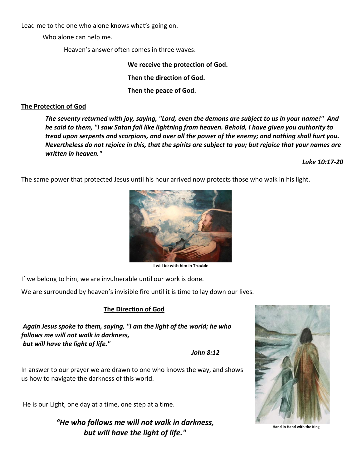Lead me to the one who alone knows what's going on.

Who alone can help me.

Heaven's answer often comes in three waves:

**We receive the protection of God.**

**Then the direction of God.**

**Then the peace of God.**

### **The Protection of God**

*The seventy returned with joy, saying, "Lord, even the demons are subject to us in your name!" And he said to them, "I saw Satan fall like lightning from heaven. Behold, I have given you authority to tread upon serpents and scorpions, and over all the power of the enemy; and nothing shall hurt you. Nevertheless do not rejoice in this, that the spirits are subject to you; but rejoice that your names are written in heaven."* 

*Luke 10:17-20*

The same power that protected Jesus until his hour arrived now protects those who walk in his light.



**I will be with him in Trouble**

If we belong to him, we are invulnerable until our work is done.

We are surrounded by heaven's invisible fire until it is time to lay down our lives.

## **The Direction of God**

*Again Jesus spoke to them, saying, "I am the light of the world; he who follows me will not walk in darkness, but will have the light of life."*

*John 8:12*

In answer to our prayer we are drawn to one who knows the way, and shows us how to navigate the darkness of this world.

He is our Light, one day at a time, one step at a time.

*"He who follows me will not walk in darkness, but will have the light of life."*



**Hand in Hand with the Kin**g